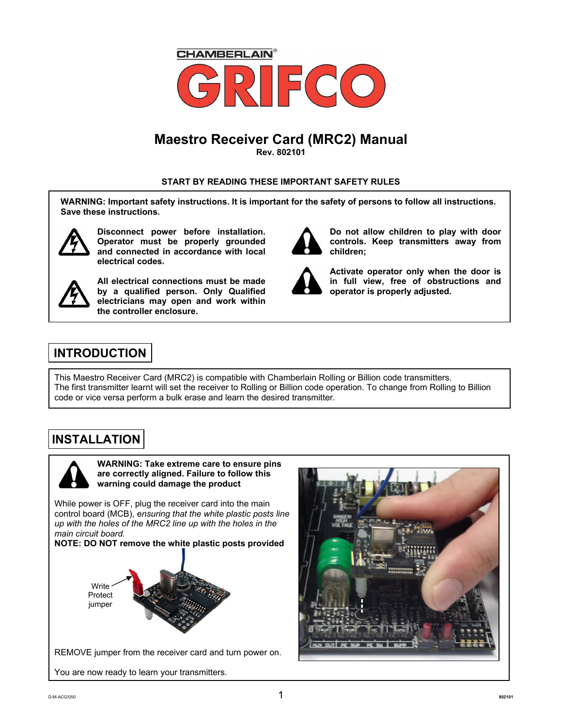

### **Maestro Receiver Card (MRC2) Manual**

**Rev. 802101** 

**START BY READING THESE IMPORTANT SAFETY RULES** 

**WARNING: Important safety instructions. It is important for the safety of persons to follow all instructions. Save these instructions.** 



**Disconnect power before installation. Operator must be properly grounded and connected in accordance with local electrical codes.** 



**All electrical connections must be made by a qualified person. Only Qualified electricians may open and work within the controller enclosure.** 



**Do not allow children to play with door controls. Keep transmitters away from children;** 



**Activate operator only when the door is in full view, free of obstructions and operator is properly adjusted.** 

### **INTRODUCTION**

This Maestro Receiver Card (MRC2) is compatible with Chamberlain Rolling or Billion code transmitters. The first transmitter learnt will set the receiver to Rolling or Billion code operation. To change from Rolling to Billion code or vice versa perform a bulk erase and learn the desired transmitter.

### **INSTALLATION**



**WARNING: Take extreme care to ensure pins are correctly aligned. Failure to follow this warning could damage the product**

While power is OFF, plug the receiver card into the main control board (MCB), e*nsuring that the white plastic posts line up with the holes of the MRC2 line up with the holes in the main circuit board.*

**NOTE: DO NOT remove the white plastic posts provided** 



REMOVE jumper from the receiver card and turn power on.

You are now ready to learn your transmitters.

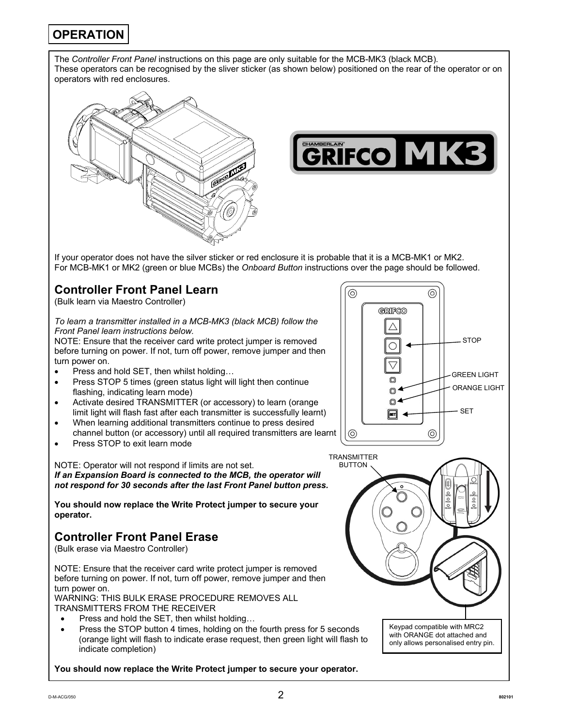### **OPERATION**

The *Controller Front Panel* instructions on this page are only suitable for the MCB-MK3 (black MCB). These operators can be recognised by the sliver sticker (as shown below) positioned on the rear of the operator or on operators with red enclosures.





If your operator does not have the silver sticker or red enclosure it is probable that it is a MCB-MK1 or MK2. For MCB-MK1 or MK2 (green or blue MCBs) the *Onboard Button* instructions over the page should be followed.

### **Controller Front Panel Learn**

(Bulk learn via Maestro Controller)

*To learn a transmitter installed in a MCB-MK3 (black MCB) follow the Front Panel learn instructions below.* 

NOTE: Ensure that the receiver card write protect jumper is removed before turning on power. If not, turn off power, remove jumper and then turn power on.

- Press and hold SET, then whilst holding...
- Press STOP 5 times (green status light will light then continue flashing, indicating learn mode)
- Activate desired TRANSMITTER (or accessory) to learn (orange limit light will flash fast after each transmitter is successfully learnt)
- When learning additional transmitters continue to press desired channel button (or accessory) until all required transmitters are learnt
- Press STOP to exit learn mode

NOTE: Operator will not respond if limits are not set. *If an Expansion Board is connected to the MCB, the operator will not respond for 30 seconds after the last Front Panel button press.*

**You should now replace the Write Protect jumper to secure your operator.** 

## **Controller Front Panel Erase** (Bulk erase via Maestro Controller)

NOTE: Ensure that the receiver card write protect jumper is removed before turning on power. If not, turn off power, remove jumper and then turn power on.

WARNING: THIS BULK ERASE PROCEDURE REMOVES ALL TRANSMITTERS FROM THE RECEIVER

- Press and hold the SET, then whilst holding…
- Press the STOP button 4 times, holding on the fourth press for 5 seconds (orange light will flash to indicate erase request, then green light will flash to indicate completion)

**You should now replace the Write Protect jumper to secure your operator.** 

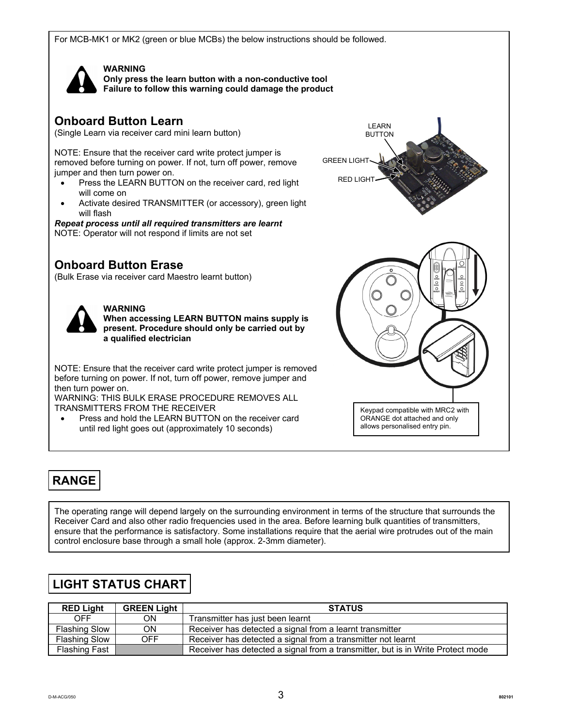For MCB-MK1 or MK2 (green or blue MCBs) the below instructions should be followed.



**WARNING** 

**Only press the learn button with a non-conductive tool Failure to follow this warning could damage the product** 

### **Onboard Button Learn**

(Single Learn via receiver card mini learn button)

NOTE: Ensure that the receiver card write protect jumper is removed before turning on power. If not, turn off power, remove jumper and then turn power on.

- Press the LEARN BUTTON on the receiver card, red light will come on
- Activate desired TRANSMITTER (or accessory), green light will flash

*Repeat process until all required transmitters are learnt*  NOTE: Operator will not respond if limits are not set

### **Onboard Button Erase**

(Bulk Erase via receiver card Maestro learnt button)



#### **WARNING**

**When accessing LEARN BUTTON mains supply is present. Procedure should only be carried out by a qualified electrician** 

NOTE: Ensure that the receiver card write protect jumper is removed before turning on power. If not, turn off power, remove jumper and then turn power on.

WARNING: THIS BULK ERASE PROCEDURE REMOVES ALL TRANSMITTERS FROM THE RECEIVER

Press and hold the LEARN BUTTON on the receiver card until red light goes out (approximately 10 seconds)

# LEARN BUTTON **GREEN LIGH** RED LIGHT  $\Omega$  $\overline{O}$ Keypad compatible with MRC2 with ORANGE dot attached and only allows personalised entry pin.

### **RANGE**

The operating range will depend largely on the surrounding environment in terms of the structure that surrounds the Receiver Card and also other radio frequencies used in the area. Before learning bulk quantities of transmitters, ensure that the performance is satisfactory. Some installations require that the aerial wire protrudes out of the main control enclosure base through a small hole (approx. 2-3mm diameter).

### **LIGHT STATUS CHART**

| <b>RED Light</b>     | <b>GREEN Light</b> | <b>STATUS</b>                                                                   |
|----------------------|--------------------|---------------------------------------------------------------------------------|
| OFF                  | ΟN                 | Transmitter has just been learnt                                                |
| <b>Flashing Slow</b> | ΟN                 | Receiver has detected a signal from a learnt transmitter                        |
| <b>Flashing Slow</b> | <b>OFF</b>         | Receiver has detected a signal from a transmitter not learnt                    |
| <b>Flashing Fast</b> |                    | Receiver has detected a signal from a transmitter, but is in Write Protect mode |